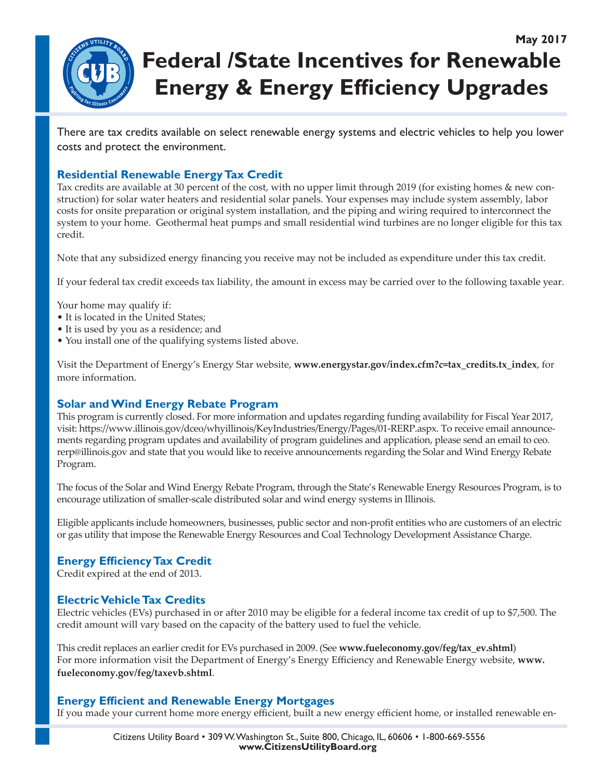

# **May 2017 Federal /State Incentives for Renewable Energy & Energy Efficiency Upgrades**

There are tax credits available on select renewable energy systems and electric vehicles to help you lower costs and protect the environment.

# **Residential Renewable Energy Tax Credit**

Tax credits are available at 30 percent of the cost, with no upper limit through 2019 (for existing homes & new construction) for solar water heaters and residential solar panels. Your expenses may include system assembly, labor costs for onsite preparation or original system installation, and the piping and wiring required to interconnect the system to your home. Geothermal heat pumps and small residential wind turbines are no longer eligible for this tax credit.

Note that any subsidized energy financing you receive may not be included as expenditure under this tax credit.

If your federal tax credit exceeds tax liability, the amount in excess may be carried over to the following taxable year.

Your home may qualify if:

- It is located in the United States;
- It is used by you as a residence; and
- You install one of the qualifying systems listed above.

Visit the Department of Energy's Energy Star website, **www.energystar.gov/index.cfm?c=tax\_credits.tx\_index**, for more information.

# **Solar and Wind Energy Rebate Program**

This program is currently closed. For more information and updates regarding funding availability for Fiscal Year 2017, visit: https://www.illinois.gov/dceo/whyillinois/KeyIndustries/Energy/Pages/01-RERP.aspx. To receive email announcements regarding program updates and availability of program guidelines and application, please send an email to ceo. rerp@illinois.gov and state that you would like to receive announcements regarding the Solar and Wind Energy Rebate Program.

The focus of the Solar and Wind Energy Rebate Program, through the State's Renewable Energy Resources Program, is to encourage utilization of smaller-scale distributed solar and wind energy systems in Illinois.

Eligible applicants include homeowners, businesses, public sector and non-profit entities who are customers of an electric or gas utility that impose the Renewable Energy Resources and Coal Technology Development Assistance Charge.

# **Energy Efficiency Tax Credit**

Credit expired at the end of 2013.

# **Electric Vehicle Tax Credits**

Electric vehicles (EVs) purchased in or after 2010 may be eligible for a federal income tax credit of up to \$7,500. The credit amount will vary based on the capacity of the battery used to fuel the vehicle.

This credit replaces an earlier credit for EVs purchased in 2009. (See **www.fueleconomy.gov/feg/tax\_ev.shtml**) For more information visit the Department of Energy's Energy Efficiency and Renewable Energy website, www. **fueleconomy.gov/feg/taxevb.shtml**.

# **Energy Efficient and Renewable Energy Mortgages**

If you made your current home more energy efficient, built a new energy efficient home, or installed renewable en-